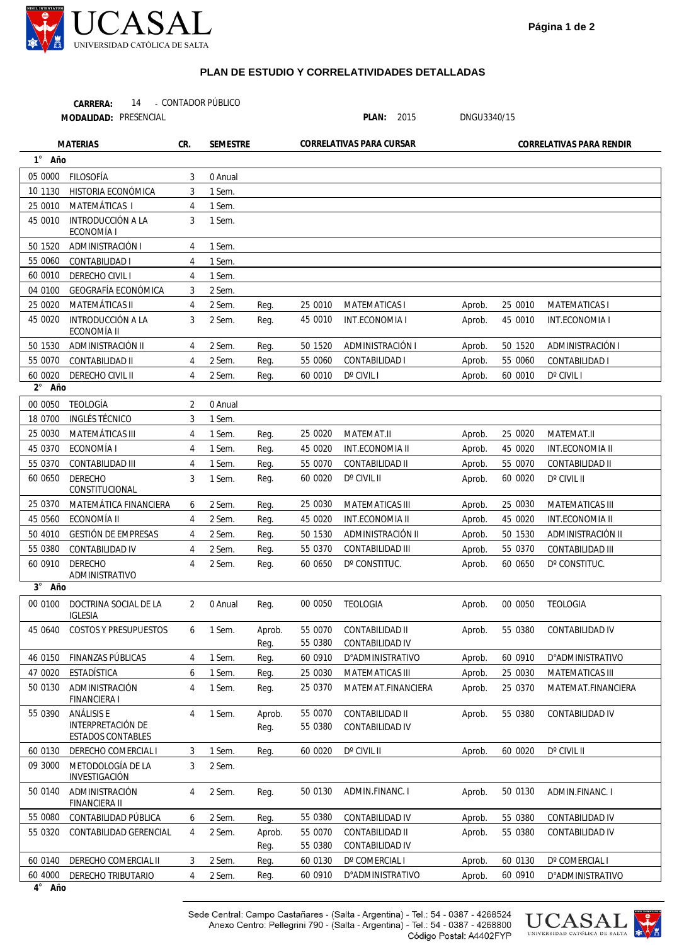

## **PLAN DE ESTUDIO Y CORRELATIVIDADES DETALLADAS**

| 14<br>CARRERA:        | - CONTADOR PÚBLICO |       |      |             |
|-----------------------|--------------------|-------|------|-------------|
| MODALIDAD: PRESENCIAL |                    | PLAN: | 2015 | DNGU3340/15 |

| <b>MATERIAS</b> |                                                             | CR.            | <b>SEMESTRE</b> |                | CORRELATIVAS PARA CURSAR |                                            | CORRELATIVAS PARA RENDIR |         |                         |  |
|-----------------|-------------------------------------------------------------|----------------|-----------------|----------------|--------------------------|--------------------------------------------|--------------------------|---------|-------------------------|--|
| 1° Año          |                                                             |                |                 |                |                          |                                            |                          |         |                         |  |
| 05 0000         | <b>FILOSOFÍA</b>                                            | 3              | 0 Anual         |                |                          |                                            |                          |         |                         |  |
| 10 1130         | HISTORIA ECONÓMICA                                          | 3              | 1 Sem.          |                |                          |                                            |                          |         |                         |  |
| 25 0010         | MATEMÁTICAS I                                               | 4              | 1 Sem.          |                |                          |                                            |                          |         |                         |  |
| 45 0010         | <b>INTRODUCCIÓN A LA</b><br>ECONOMÍA I                      | 3              | 1 Sem.          |                |                          |                                            |                          |         |                         |  |
| 50 1520         | ADMINISTRACIÓN I                                            | 4              | 1 Sem.          |                |                          |                                            |                          |         |                         |  |
| 55 0060         | CONTABILIDAD I                                              | 4              | 1 Sem.          |                |                          |                                            |                          |         |                         |  |
| 60 0010         | DERECHO CIVIL I                                             | 4              | 1 Sem.          |                |                          |                                            |                          |         |                         |  |
| 04 0100         | GEOGRAFÍA ECONÓMICA                                         | 3              | 2 Sem.          |                |                          |                                            |                          |         |                         |  |
| 25 0020         | MATEMÁTICAS II                                              | 4              | 2 Sem.          | Req.           | 25 0010                  | <b>MATEMATICAS I</b>                       | Aprob.                   | 25 0010 | <b>MATEMATICAS I</b>    |  |
| 45 0020         | <b>INTRODUCCIÓN A LA</b><br>ECONOMÍA II                     | 3              | 2 Sem.          | Reg.           | 45 0010                  | INT.ECONOMIA I                             | Aprob.                   | 45 0010 | INT.ECONOMIA I          |  |
| 50 1530         | ADMINISTRACIÓN II                                           | 4              | 2 Sem.          | Reg.           | 50 1520                  | ADMINISTRACIÓN I                           | Aprob.                   | 50 1520 | ADMINISTRACIÓN I        |  |
| 55 0070         | CONTABILIDAD II                                             | $\overline{4}$ | 2 Sem.          | Req.           | 55 0060                  | CONTABILIDAD I                             | Aprob.                   | 55 0060 | CONTABILIDAD I          |  |
| 60 0020         | DERECHO CIVIL II                                            | 4              | 2 Sem.          | Reg.           | 60 0010                  | D° CIVIL I                                 | Aprob.                   | 60 0010 | D° CIVIL I              |  |
| 2° Año          |                                                             |                |                 |                |                          |                                            |                          |         |                         |  |
| 00 0050         | TEOLOGÍA                                                    | 2              | 0 Anual         |                |                          |                                            |                          |         |                         |  |
| 18 0700         | INGLÉS TÉCNICO                                              | 3              | 1 Sem.          |                |                          |                                            |                          |         |                         |  |
| 25 0030         | MATEMÁTICAS III                                             | 4              | 1 Sem.          | Reg.           | 25 0020                  | MATEMAT.II                                 | Aprob.                   | 25 0020 | MATEMAT.II              |  |
| 45 0370         | ECONOMÍA I                                                  | 4              | 1 Sem.          | Req.           | 45 0020                  | <b>INT.ECONOMIA II</b>                     | Aprob.                   | 45 0020 | <b>INT.ECONOMIA II</b>  |  |
| 55 0370         | CONTABILIDAD III                                            | 4              | 1 Sem.          | Reg.           | 55 0070                  | CONTABILIDAD II                            | Aprob.                   | 55 0070 | CONTABILIDAD II         |  |
| 60 0650         | <b>DERECHO</b><br>CONSTITUCIONAL                            | 3              | 1 Sem.          | Reg.           | 60 0020                  | $D^{\circ}$ CIVIL II                       | Aprob.                   | 60 0020 | D° CIVIL II             |  |
| 25 0370         | MATEMÁTICA FINANCIERA                                       | 6              | 2 Sem.          | Reg.           | 25 0030                  | <b>MATEMATICAS III</b>                     | Aprob.                   | 25 0030 | <b>MATEMATICAS III</b>  |  |
| 45 0560         | ECONOMÍA II                                                 | $\overline{4}$ | 2 Sem.          | Reg.           | 45 0020                  | <b>INT.ECONOMIA II</b>                     | Aprob.                   | 45 0020 | <b>INT.ECONOMIA II</b>  |  |
| 50 4010         | <b>GESTIÓN DE EMPRESAS</b>                                  | 4              | 2 Sem.          | Reg.           | 50 1530                  | ADMINISTRACIÓN II                          | Aprob.                   | 50 1530 | ADMINISTRACIÓN II       |  |
| 55 0380         | CONTABILIDAD IV                                             | 4              | 2 Sem.          | Reg.           | 55 0370                  | <b>CONTABILIDAD III</b>                    | Aprob.                   | 55 0370 | CONTABILIDAD III        |  |
| 60 0910         | <b>DERECHO</b><br>ADMINISTRATIVO                            | 4              | 2 Sem.          | Reg.           | 60 0650                  | D° CONSTITUC.                              | Aprob.                   | 60 0650 | D° CONSTITUC.           |  |
| 3° Año          |                                                             |                |                 |                |                          |                                            |                          |         |                         |  |
| 00 0100         | DOCTRINA SOCIAL DE LA<br><b>IGLESIA</b>                     | $\overline{2}$ | 0 Anual         | Reg.           | 00 0050                  | <b>TEOLOGIA</b>                            | Aprob.                   | 00 0050 | <b>TEOLOGIA</b>         |  |
| 45 0640         | <b>COSTOS Y PRESUPUESTOS</b>                                | 6              | 1 Sem.          | Aprob.<br>Reg. | 55 0070                  | CONTABILIDAD II<br>55 0380 CONTABILIDAD IV | Aprob.                   | 55 0380 | CONTABILIDAD IV         |  |
| 46 0150         | FINANZAS PÚBLICAS                                           | 4              | 1 Sem.          | Reg.           | 60 0910                  | D°ADMINISTRATIVO                           | Aprob.                   | 60 0910 | <b>D°ADMINISTRATIVO</b> |  |
| 47 0020         | <b>ESTADÍSTICA</b>                                          | 6              | 1 Sem.          | Reg.           | 25 0030                  | MATEMATICAS III                            | Aprob.                   | 25 0030 | MATEMATICAS III         |  |
| 50 0130         | ADMINISTRACIÓN<br>FINANCIERA I                              | 4              | 1 Sem.          | Reg.           | 25 0370                  | MATEMAT.FINANCIERA                         | Aprob.                   | 25 0370 | MATEMAT.FINANCIERA      |  |
| 55 0390         | ANÁLISIS E<br><b>INTERPRETACIÓN DE</b><br>ESTADOS CONTABLES | 4              | 1 Sem.          | Aprob.<br>Reg. | 55 0070<br>55 0380       | CONTABILIDAD II<br>CONTABILIDAD IV         | Aprob.                   | 55 0380 | CONTABILIDAD IV         |  |
| 60 0130         | DERECHO COMERCIAL I                                         | 3              | 1 Sem.          | Reg.           | 60 0020                  | D° CIVIL II                                | Aprob.                   | 60 0020 | D° CIVIL II             |  |
| 09 3000         | METODOLOGÍA DE LA<br>INVESTIGACIÓN                          | 3              | 2 Sem.          |                |                          |                                            |                          |         |                         |  |
| 50 0140         | ADMINISTRACIÓN<br><b>FINANCIERA II</b>                      | 4              | 2 Sem.          | Reg.           | 50 0130                  | ADMIN.FINANC.I                             | Aprob.                   | 50 0130 | ADMIN.FINANC.I          |  |
| 55 0080         | CONTABILIDAD PÚBLICA                                        | 6              | 2 Sem.          | Reg.           | 55 0380                  | CONTABILIDAD IV                            | Aprob.                   | 55 0380 | CONTABILIDAD IV         |  |
| 55 0320         | CONTABILIDAD GERENCIAL                                      | 4              | 2 Sem.          | Aprob.         | 55 0070                  | CONTABILIDAD II                            | Aprob.                   | 55 0380 | CONTABILIDAD IV         |  |
|                 |                                                             |                |                 | Reg.           | 55 0380                  | CONTABILIDAD IV                            |                          |         |                         |  |
| 60 0140         | DERECHO COMERCIAL II                                        | 3              | 2 Sem.          | Reg.           | 60 0130                  | D° COMERCIAL I                             | Aprob.                   | 60 0130 | D° COMERCIAL I          |  |
| 60 4000         | DERECHO TRIBUTARIO                                          | 4              | 2 Sem.          | Reg.           | 60 0910                  | <b>D°ADMINISTRATIVO</b>                    | Aprob.                   | 60 0910 | <b>D°ADMINISTRATIVO</b> |  |
| $4^\circ$ Año   |                                                             |                |                 |                |                          |                                            |                          |         |                         |  |